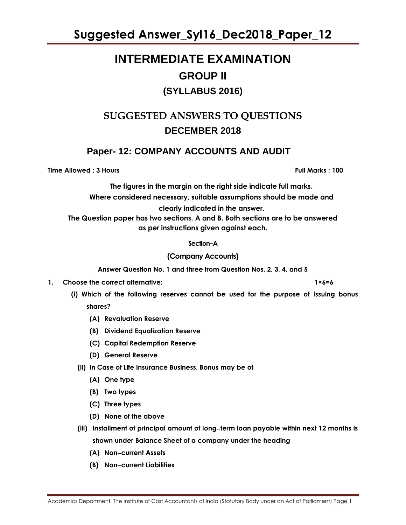# **INTERMEDIATE EXAMINATION GROUP II (SYLLABUS 2016)**

### **SUGGESTED ANSWERS TO QUESTIONS DECEMBER 2018**

### **Paper- 12: COMPANY ACCOUNTS AND AUDIT**

**Time Allowed : 3 Hours Full Marks : 100**

**The figures in the margin on the right side indicate full marks. Where considered necessary, suitable assumptions should be made and clearly indicated in the answer. The Question paper has two sections. A and B. Both sections are to be answered as per instructions given against each.**

### **Section–A**

### **(Company Accounts)**

**Answer Question No. 1 and three from Question Nos. 2, 3, 4, and 5** 

- **1. Choose the correct alternative: 1×6=6**
	- **(i) Which of the following reserves cannot be used for the purpose of issuing bonus shares?**
		- **(A) Revaluation Reserve**
		- **(B) Dividend Equalization Reserve**
		- **(C) Capital Redemption Reserve**
		- **(D) General Reserve**
		- **(ii) In Case of Life Insurance Business, Bonus may be of** 
			- **(A) One type**
			- **(B) Two types**
			- **(C) Three types**
			- **(D) None of the above**
		- **(iii) Installment of principal amount of longterm loan payable within next 12 months is shown under Balance Sheet of a company under the heading** 
			- **(A) Noncurrent Assets**
			- **(B) Noncurrent Liabilities**

Academics Department, The Institute of Cost Accountants of India (Statutory Body under an Act of Parliament) Page 1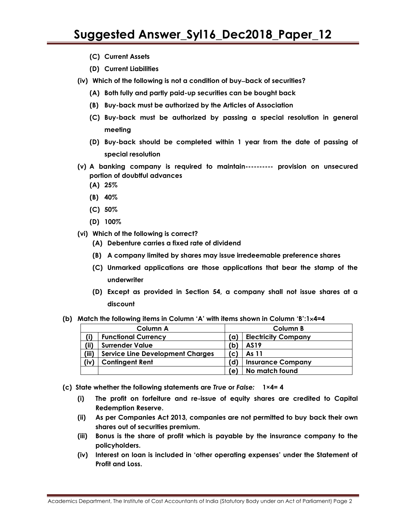- **(C) Current Assets**
- **(D) Current Liabilities**
- **(iv) Which of the following is not a condition of buyback of securities?**
	- **(A) Both fully and partly paid-up securities can be bought back**
	- **(B) Buy-back must be authorized by the Articles of Association**
	- **(C) Buy-back must be authorized by passing a special resolution in general meeting**
	- **(D) Buy-back should be completed within 1 year from the date of passing of special resolution**
- **(v) A banking company is required to maintain---------- provision on unsecured portion of doubtful advances**
	- **(A) 25%**
	- **(B) 40%**
	- **(C) 50%**
	- **(D) 100%**
- **(vi) Which of the following is correct?** 
	- **(A) Debenture carries a fixed rate of dividend**
	- **(B) A company limited by shares may issue irredeemable preference shares**
	- **(C) Unmarked applications are those applications that bear the stamp of the underwriter**
	- **(D) Except as provided in Section 54, a company shall not issue shares at a discount**
- **(b) Match the following items in Column 'A' with items shown in Column 'B':14=4**

| Column A |                                         |     | Column B                   |  |  |
|----------|-----------------------------------------|-----|----------------------------|--|--|
| (i)      | <b>Functional Currency</b>              | ้ต) | <b>Electricity Company</b> |  |  |
| (ii)     | <b>Surrender Value</b>                  | 'b) | AS19                       |  |  |
| (iii)    | <b>Service Line Development Charges</b> | (C  | As 11                      |  |  |
| (iv)     | <b>Contingent Rent</b>                  | (d) | <b>Insurance Company</b>   |  |  |
|          |                                         | e)  | No match found             |  |  |

- **(c) State whether the following statements are** *True* **or** *False:* **1×4= 4**
	- **(i) The profit on forfeiture and re-issue of equity shares are credited to Capital Redemption Reserve.**
	- **(ii) As per Companies Act 2013, companies are not permitted to buy back their own shares out of securities premium.**
	- **(iii) Bonus is the share of profit which is payable by the insurance company to the policyholders.**
	- **(iv) Interest on loan is included in 'other operating expenses' under the Statement of Profit and Loss.**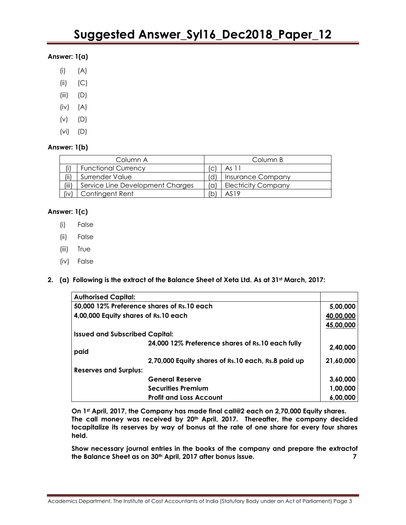### **Answer: 1(a)**

- (i) (A)
- (ii) (C)
- (iii) (D)
- (iv) (A)
- (v) (D)
- (vi) (D)

### **Answer: 1(b)**

| Column A |                                  |     | Column B                   |  |  |
|----------|----------------------------------|-----|----------------------------|--|--|
| (i)      | <b>Functional Currency</b>       | 'c' | As 11                      |  |  |
| (iii)    | Surrender Value                  | 'd) | <b>Insurance Company</b>   |  |  |
| (iii)    | Service Line Development Charges | 'a) | <b>Electricity Company</b> |  |  |
| (iv)     | Contingent Rent                  | 'b  | AS19                       |  |  |

### **Answer: 1(c)**

- (i) False
- (ii) False
- (iii) True
- (iv) False
- **2. (a) Following is the extract of the Balance Sheet of Xeta Ltd. As at 31st March, 2017:**

| <b>Authorised Capital:</b>                 |                                                    |           |
|--------------------------------------------|----------------------------------------------------|-----------|
| 50,000 12% Preference shares of Rs.10 each |                                                    | 5,00,000  |
| 4,00,000 Equity shares of Rs.10 each       |                                                    | 40,00,000 |
|                                            |                                                    | 45,00,000 |
| <b>Issued and Subscribed Capital:</b>      |                                                    |           |
|                                            | 24,000 12% Preference shares of Rs.10 each fully   | 2.40.000  |
| paid                                       |                                                    |           |
|                                            | 2,70,000 Equity shares of Rs.10 each, Rs.8 paid up | 21.60.000 |
| <b>Reserves and Surplus:</b>               |                                                    |           |
|                                            | <b>General Reserve</b>                             | 3,60,000  |
|                                            | <b>Securities Premium</b>                          | 1,00,000  |
|                                            | <b>Profit and Loss Account</b>                     | 6,00,000  |

**On 1st April, 2017, the Company has made final call@2 each on 2,70,000 Equity shares. The call money was received by 20th April, 2017. Thereafter, the company decided tocapitalize its reserves by way of bonus at the rate of one share for every four shares held.**

**Show necessary journal entries in the books of the company and prepare the extractof the Balance Sheet as on 30th April, 2017 after bonus issue. 7**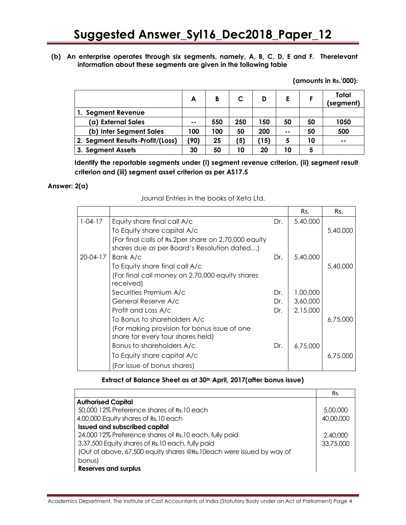### **(b) An enterprise operates through six segments, namely, A, B, C, D, E and F. Therelevant information about these segments are given in the following table**

**(amounts in Rs.'000):**

|                                  | A    | B   |     |      |      |    | Total<br>(segment) |
|----------------------------------|------|-----|-----|------|------|----|--------------------|
| 1. Segment Revenue               |      |     |     |      |      |    |                    |
| (a) External Sales               | --   | 550 | 250 | 150  | 50   | 50 | 1050               |
| (b) Inter Segment Sales          | 100  | 100 | 50  | 200  | $ -$ | 50 | 500                |
| 2. Segment Results-Profit/(Loss) | (90) | 25  | '5) | (15) | 5    | 10 | $\sim$ $\sim$      |
| 3. Segment Assets                | 30   | 50  | 10  | 20   | 10   | 5  |                    |

**Identify the reportable segments under (i) segment revenue criterion, (ii) segment result criterion and (iii) segment asset criterion as per AS17.5**

### **Answer: 2(a)**

| Journal Entries in the books of Xeta Ltd. |  |
|-------------------------------------------|--|
|-------------------------------------------|--|

|                |                                                      |     | Rs.      | Rs.      |
|----------------|------------------------------------------------------|-----|----------|----------|
| $1 - 04 - 17$  | Equity share final call A/c                          | Dr. | 5,40,000 |          |
|                | To Equity share capital A/c                          |     |          | 5,40,000 |
|                | (For final calls of Rs.2per share on 2,70,000 equity |     |          |          |
|                | shares due as per Board's Resolution dated)          |     |          |          |
| $20 - 04 - 17$ | Bank A/c                                             | Dr. | 5,40,000 |          |
|                | To Equity share final call A/c                       |     |          | 5,40,000 |
|                | (For final call money on 2,70,000 equity shares      |     |          |          |
|                | received)                                            |     |          |          |
|                | Securities Premium A/c                               | Dr. | 1,00,000 |          |
|                | General Reserve A/c                                  | Dr. | 3,60,000 |          |
|                | Profit and Loss A/c                                  | Dr. | 2,15,000 |          |
|                | To Bonus to shareholders A/c                         |     |          | 6,75,000 |
|                | (For making provision for bonus issue of one)        |     |          |          |
|                | share for every four shares held)                    |     |          |          |
|                | Bonus to shareholders A/c                            | Dr. | 6,75,000 |          |
|                | To Equity share capital A/c                          |     |          | 6,75,000 |
|                | (For issue of bonus shares)                          |     |          |          |

**Extract of Balance Sheet as at 30th April, 2017(after bonus issue)**

|                                                                      | Rs.       |
|----------------------------------------------------------------------|-----------|
| <b>Authorised Capital</b>                                            |           |
| 50,000 12% Preference shares of Rs.10 each                           | 5,00,000  |
| 4,00,000 Equity shares of Rs.10 each                                 | 40,00,000 |
| <b>Issued and subscribed capital</b>                                 |           |
| 24,000 12% Preference shares of Rs.10 each, fully paid               | 2,40,000  |
| 3,37,500 Equity shares of Rs.10 each, fully paid                     | 33,75,000 |
| (Out of above, 67,500 equity shares @Rs.10each were issued by way of |           |
| bonus)                                                               |           |
| <b>Reserves and surplus</b>                                          |           |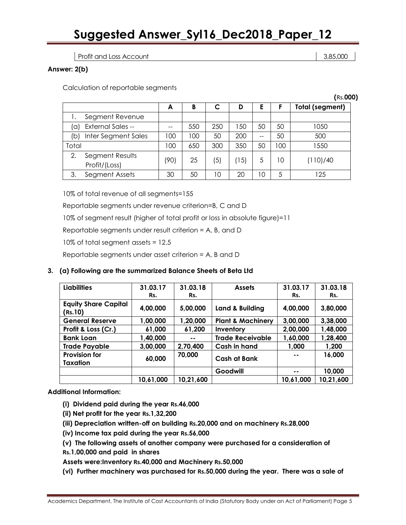Profit and Loss Account 2,85,000 and  $\sim$  3,85,000 and 3,85,000 and 3,85,000 and 3,85,000 and 3,85,000 and 3,85,000 and 3,85,000 and 3,85,000 and 3,85,000 and 3,85,000 and 3,85,000 and 3,85,000 and 3,85,000 and 3,85,000 an

### **Answer: 2(b)**

Calculation of reportable segments

|       |                                  |      |     |                  |      |          |     | (Rs.000)               |
|-------|----------------------------------|------|-----|------------------|------|----------|-----|------------------------|
|       |                                  | A    | B   |                  | D    | E        |     | <b>Total (segment)</b> |
|       | Segment Revenue                  |      |     |                  |      |          |     |                        |
| (a    | <b>External Sales --</b>         | --   | 550 | 250              | 50   | 50       | 50  | 1050                   |
| (b)   | Inter Segment Sales              | 100  | 100 | 50               | 200  | --       | 50  | 500                    |
| Total |                                  | 100  | 650 | 300              | 350  | 50       | 100 | 1550                   |
| 2.    | Segment Results<br>Profit/(Loss) | (90) | 25  | $\left(5\right)$ | (15) | 5        | 10  | (110)/40               |
| З.    | Segment Assets                   | 30   | 50  | 10               | 20   | $\Omega$ | 5   | 125                    |

10% of total revenue of all segments=155

Reportable segments under revenue criterion=B, C and D

10% of segment result (higher of total profit or loss in absolute figure)=11

Reportable segments under result criterion = A, B, and D

10% of total segment assets = 12.5

Reportable segments under asset criterion = A, B and D

### **3. (a) Following are the summarized Balance Sheets of Beta Ltd**

| <b>Liabilities</b>                     | 31.03.17<br>Rs. | 31.03.18<br>Rs. | <b>Assets</b>                | 31.03.17<br>Rs. | 31.03.18<br>Rs. |
|----------------------------------------|-----------------|-----------------|------------------------------|-----------------|-----------------|
| <b>Equity Share Capital</b><br>(Rs.10) | 4,00,000        | 5,00,000        | Land & Building              | 4,00,000        | 3,80,000        |
| <b>General Reserve</b>                 | 1,00,000        | 1,20,000        | <b>Plant &amp; Machinery</b> | 3,00,000        | 3,38,000        |
| Profit & Loss (Cr.)                    | 61,000          | 61,200          | Inventory                    | 2,00,000        | 1,48,000        |
| <b>Bank Loan</b>                       | 1,40,000        | $\sim$ $\sim$   | <b>Trade Receivable</b>      | 1,60,000        | 1,28,400        |
| <b>Trade Payable</b>                   | 3,00,000        | 2,70,400        | Cash in hand                 | 1,000           | 1,200           |
| <b>Provision for</b><br>Taxation       | 60,000          | 70,000          | Cash at Bank                 | --              | 16,000          |
|                                        |                 |                 | Goodwill                     | --              | 10,000          |
|                                        | 10,61,000       | 10,21,600       |                              | 10,61,000       | 10,21,600       |

**Additional Information:**

- **(i) Dividend paid during the year Rs.46,000**
- **(ii) Net profit for the year Rs.1,32,200**
- **(iii) Depreciation written-off on building Rs.20,000 and on machinery Rs.28,000**
- **(iv) Income tax paid during the year Rs.56,000**
- **(v) The following assets of another company were purchased for a consideration of**
- **Rs.1,00,000 and paid in shares**

**Assets were:Inventory Rs.40,000 and Machinery Rs.50,000**

**(vi) Further machinery was purchased for Rs.50,000 during the year. There was a sale of**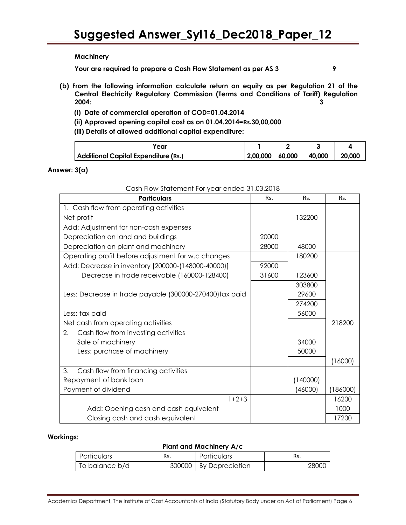### **Machinery**

**Your are required to prepare a Cash Flow Statement as per AS 3 9**

- 
- **(b) From the following information calculate return on equity as per Regulation 21 of the Central Electricity Regulatory Commission (Terms and Conditions of Tariff) Regulation 2004: 3**
	- **(i) Date of commercial operation of COD=01.04.2014**
	- **(ii) Approved opening capital cost as on 01.04.2014=Rs.30,00,000**
	- **(iii) Details of allowed additional capital expenditure:**

| 'ear                                 |                   |        |        |
|--------------------------------------|-------------------|--------|--------|
| Additional Capital Expenditure (Rs.) | 2,00,000   60,000 | 40,000 | 20,000 |

### **Answer: 3(a)**

| <b>Particulars</b>                                      | Rs.   | Rs.      | Rs.      |
|---------------------------------------------------------|-------|----------|----------|
| 1. Cash flow from operating activities                  |       |          |          |
| Net profit                                              |       | 132200   |          |
| Add: Adjustment for non-cash expenses                   |       |          |          |
| Depreciation on land and buildings                      | 20000 |          |          |
| Depreciation on plant and machinery                     | 28000 | 48000    |          |
| Operating profit before adjustment for w.c changes      |       | 180200   |          |
| Add: Decrease in inventory [200000-(148000-40000)]      | 92000 |          |          |
| Decrease in trade receivable (160000-128400)            | 31600 | 123600   |          |
|                                                         |       | 303800   |          |
| Less: Decrease in trade payable (300000-270400)tax paid |       | 29600    |          |
|                                                         |       | 274200   |          |
| Less: tax paid                                          |       | 56000    |          |
| Net cash from operating activities                      |       |          | 218200   |
| 2.<br>Cash flow from investing activities               |       |          |          |
| Sale of machinery                                       |       | 34000    |          |
| Less: purchase of machinery                             |       | 50000    |          |
|                                                         |       |          | (16000)  |
| 3.<br>Cash flow from financing activities               |       |          |          |
| Repayment of bank loan                                  |       | (140000) |          |
| Payment of dividend                                     |       | (46000)  | (186000) |
| $1+2+3$                                                 |       |          | 16200    |
| Add: Opening cash and cash equivalent                   |       |          | 1000     |
| Closing cash and cash equivalent                        |       |          | 17200    |

### Cash Flow Statement For year ended 31.03.2018

### **Workings:**

### **Plant and Machinery A/c**

| Particulars    | Rs. | Particulars              | Rs.   |
|----------------|-----|--------------------------|-------|
| To balance b/d |     | 300000   By Depreciation | 28000 |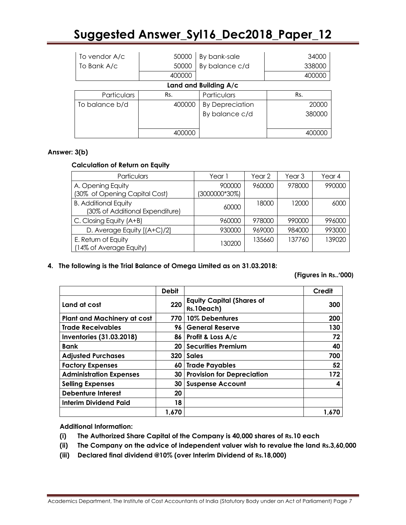| To vendor A/c         | 50000  | By bank-sale           | 34000  |  |
|-----------------------|--------|------------------------|--------|--|
| To Bank A/c           | 50000  | By balance c/d         | 338000 |  |
|                       | 400000 |                        | 400000 |  |
| Land and Building A/c |        |                        |        |  |
| Particulars           | Rs.    | Particulars            | Rs.    |  |
| To balance b/d        | 400000 | <b>By Depreciation</b> | 20000  |  |
|                       |        | By balance c/d         | 380000 |  |
|                       |        |                        |        |  |
|                       |        |                        |        |  |

### **Answer: 3(b)**

### **Calculation of Return on Equity**

| Particulars                                                    | Year 1        | Year 2 | Year 3 | Year 4 |
|----------------------------------------------------------------|---------------|--------|--------|--------|
| A. Opening Equity                                              | 900000        | 960000 | 978000 | 990000 |
| (30% of Opening Capital Cost)                                  | (3000000*30%) |        |        |        |
| <b>B. Additional Equity</b><br>(30% of Additional Expenditure) | 60000         | 18000  | 12000  | 6000   |
| C. Closing Equity (A+B)                                        | 960000        | 978000 | 990000 | 996000 |
| D. Average Equity [(A+C)/2]                                    | 930000        | 969000 | 984000 | 993000 |
| E. Return of Equity<br>(14% of Average Equity)                 | 130200        | 135660 | 137760 | 139020 |

### **4. The following is the Trial Balance of Omega Limited as on 31.03.2018:**

 **(Figures in Rs..'000)**

|                                    | <b>Debit</b> |                                                | Credit |
|------------------------------------|--------------|------------------------------------------------|--------|
| Land at cost                       | 220          | <b>Equity Capital (Shares of</b><br>Rs.10each) | 300    |
| <b>Plant and Machinery at cost</b> | 770          | 10% Debentures                                 | 200    |
| <b>Trade Receivables</b>           | 96           | <b>General Reserve</b>                         | 130    |
| <b>Inventories (31.03.2018)</b>    |              | $86$   Profit & Loss $A/c$                     | 72     |
| <b>Bank</b>                        | 20           | <b>Securities Premium</b>                      | 40     |
| <b>Adjusted Purchases</b>          | 320          | <b>Sales</b>                                   | 700    |
| <b>Factory Expenses</b>            | 60           | <b>Trade Payables</b>                          | 52     |
| <b>Administration Expenses</b>     | 30           | <b>Provision for Depreciation</b>              | 172    |
| <b>Selling Expenses</b>            | 30           | <b>Suspense Account</b>                        |        |
| <b>Debenture Interest</b>          | 20           |                                                |        |
| <b>Interim Dividend Paid</b>       | 18           |                                                |        |
|                                    | 1.670        |                                                | 1.670  |

**Additional Information:**

- **(i) The Authorized Share Capital of the Company is 40,000 shares of Rs.10 each**
- **(ii) The Company on the advice of independent valuer wish to revalue the land Rs.3,60,000**
- **(iii) Declared final dividend @10% (over Interim Dividend of Rs.18,000)**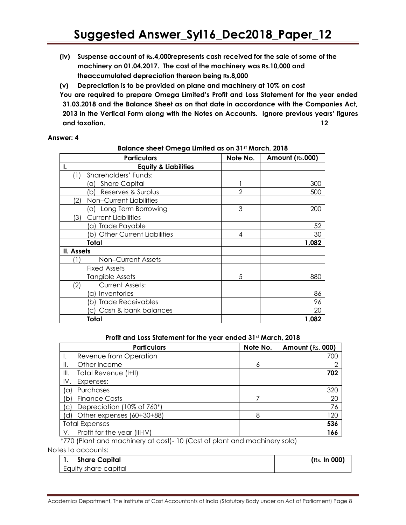**(iv) Suspense account of Rs.4,000represents cash received for the sale of some of the machinery on 01.04.2017. The cost of the machinery was Rs.10,000 and theaccumulated depreciation thereon being Rs.8,000**

**(v) Depreciation is to be provided on plane and machinery at 10% on cost**

**You are required to prepare Omega Limited's Profit and Loss Statement for the year ended 31.03.2018 and the Balance Sheet as on that date in accordance with the Companies Act, 2013 in the Vertical Form along with the Notes on Accounts. Ignore previous years' figures and taxation. 12**

### **Answer: 4**

**Balance sheet Omega Limited as on 31st March, 2018**

|            | <b>Particulars</b>                     | Note No.       | Amount (Rs.000) |
|------------|----------------------------------------|----------------|-----------------|
| Ι.         | <b>Equity &amp; Liabilities</b>        |                |                 |
|            | Shareholders' Funds:                   |                |                 |
|            | <b>Share Capital</b><br>a)             |                | 300             |
|            | Reserves & Surplus<br>b)               | $\overline{2}$ | 500             |
| (2)        | Non-Current Liabilities                |                |                 |
|            | Long Term Borrowing<br>a)              | 3              | 200             |
| (3)        | <b>Current Liabilities</b>             |                |                 |
|            | Trade Payable<br>a)                    |                | 52              |
|            | <b>Other Current Liabilities</b><br>b) | 4              | 30              |
|            | Total                                  |                | 1,082           |
| II. Assets |                                        |                |                 |
|            | Non-Current Assets                     |                |                 |
|            | <b>Fixed Assets</b>                    |                |                 |
|            | Tangible Assets                        | 5              | 880             |
| (2)        | <b>Current Assets:</b>                 |                |                 |
|            | Inventories<br>`a)                     |                | 86              |
|            | <b>Trade Receivables</b><br>b)         |                | 96              |
|            | Cash & bank balances                   |                | 20              |
|            | Total                                  |                | 1,082           |

**Profit and Loss Statement for the year ended 31st March, 2018**

|      | <b>Particulars</b>           | Note No. | <b>Amount (Rs. 000)</b> |
|------|------------------------------|----------|-------------------------|
|      | Revenue from Operation       |          | 700                     |
| Ⅲ.   | Other Income                 | 6        | ⌒                       |
| III. | Total Revenue (I+II)         |          | 702                     |
| IV.  | Expenses:                    |          |                         |
| 'a)  | Purchases                    |          | 320                     |
| (b)  | <b>Finance Costs</b>         |          | 20                      |
| (C)  | Depreciation (10% of 760*)   |          | 76                      |
| 'd)  | Other expenses (60+30+88)    | 8        | 120                     |
|      | <b>Total Expenses</b>        |          | 536                     |
| V.   | Profit for the year (III-IV) |          | 166                     |

\*770 (Plant and machinery at cost)- 10 (Cost of plant and machinery sold)

Notes to accounts:

| <b>Share Capital</b> | (Rs. In 000) |
|----------------------|--------------|
| Equity share capital |              |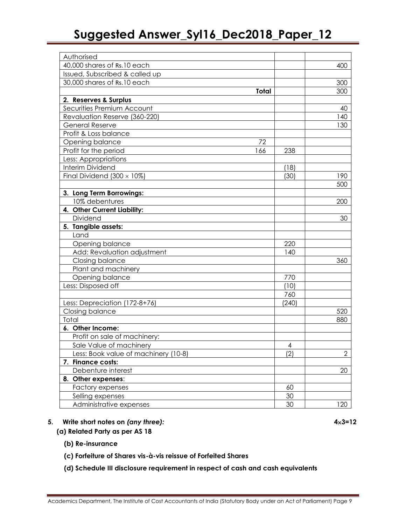| Authorised                           |       |              |
|--------------------------------------|-------|--------------|
| 40,000 shares of Rs.10 each          |       | 400          |
| Issued, Subscribed & called up       |       |              |
| 30,000 shares of Rs.10 each          |       | 300          |
| <b>Total</b>                         |       | 300          |
| 2. Reserves & Surplus                |       |              |
| Securities Premium Account           |       | 40           |
| Revaluation Reserve (360-220)        |       | 140          |
| <b>General Reserve</b>               |       | 130          |
| Profit & Loss balance                |       |              |
| Opening balance<br>72                |       |              |
| Profit for the period<br>166         | 238   |              |
| Less: Appropriations                 |       |              |
| Interim Dividend                     | (18)  |              |
| Final Dividend $(300 \times 10\%)$   | (30)  | 190          |
|                                      |       | 500          |
| 3. Long Term Borrowings:             |       |              |
| 10% debentures                       |       | 200          |
| 4. Other Current Liability:          |       |              |
| Dividend                             |       | 30           |
| 5. Tangible assets:                  |       |              |
| Land                                 |       |              |
| Opening balance                      | 220   |              |
| Add: Revaluation adjustment          | 140   |              |
| Closing balance                      |       | 360          |
| Plant and machinery                  |       |              |
| Opening balance                      | 770   |              |
| Less: Disposed off                   | (10)  |              |
|                                      | 760   |              |
| Less: Depreciation (172-8+76)        | (240) |              |
| Closing balance                      |       | 520          |
| Total                                |       | 880          |
| 6. Other Income:                     |       |              |
| Profit on sale of machinery:         |       |              |
| Sale Value of machinery              | 4     |              |
| Less: Book value of machinery (10-8) | (2)   | $\mathbf{2}$ |
| 7. Finance costs:                    |       |              |
| Debenture interest                   |       | 20           |
| 8. Other expenses:                   |       |              |
| Factory expenses                     | 60    |              |
| Selling expenses                     | 30    |              |
| Administrative expenses              | 30    | 120          |

### **5. Write short notes on** *(any three):* **43=12**

- **(a) Related Party as per AS 18**
	- **(b) Re-insurance**
	- **(c) Forfeiture of Shares vis-à-vis reissue of Forfeited Shares**
	- **(d) Schedule III disclosure requirement in respect of cash and cash equivalents**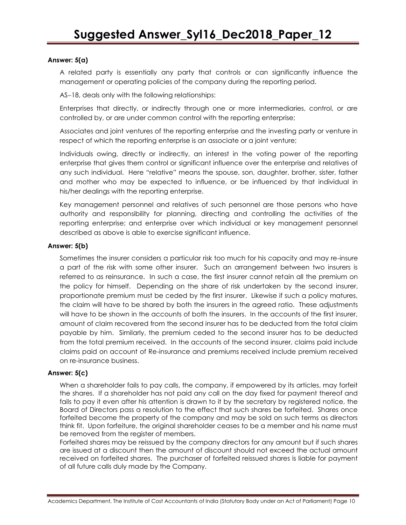### **Answer: 5(a)**

A related party is essentially any party that controls or can significantly influence the management or operating policies of the company during the reporting period.

AS-18, deals only with the following relationships:

Enterprises that directly, or indirectly through one or more intermediaries, control, or are controlled by, or are under common control with the reporting enterprise;

Associates and joint ventures of the reporting enterprise and the investing party or venture in respect of which the reporting enterprise is an associate or a joint venture;

Individuals owing, directly or indirectly, an interest in the voting power of the reporting enterprise that gives them control or significant influence over the enterprise and relatives of any such individual. Here "relative" means the spouse, son, daughter, brother, sister, father and mother who may be expected to influence, or be influenced by that individual in his/her dealings with the reporting enterprise.

Key management personnel and relatives of such personnel are those persons who have authority and responsibility for planning, directing and controlling the activities of the reporting enterprise; and enterprise over which individual or key management personnel described as above is able to exercise significant influence.

### **Answer: 5(b)**

Sometimes the insurer considers a particular risk too much for his capacity and may re-insure a part of the risk with some other insurer. Such an arrangement between two insurers is referred to as reinsurance. In such a case, the first insurer cannot retain all the premium on the policy for himself. Depending on the share of risk undertaken by the second insurer, proportionate premium must be ceded by the first insurer. Likewise if such a policy matures, the claim will have to be shared by both the insurers in the agreed ratio. These adjustments will have to be shown in the accounts of both the insurers. In the accounts of the first insurer, amount of claim recovered from the second insurer has to be deducted from the total claim payable by him. Similarly, the premium ceded to the second insurer has to be deducted from the total premium received. In the accounts of the second insurer, claims paid include claims paid on account of Re-insurance and premiums received include premium received on re-insurance business.

### **Answer: 5(c)**

When a shareholder fails to pay calls, the company, if empowered by its articles, may forfeit the shares. If a shareholder has not paid any call on the day fixed for payment thereof and fails to pay it even after his attention is drawn to it by the secretary by registered notice, the Board of Directors pass a resolution to the effect that such shares be forfeited. Shares once forfeited become the property of the company and may be sold on such terms as directors think fit. Upon forfeiture, the original shareholder ceases to be a member and his name must be removed from the register of members.

Forfeited shares may be reissued by the company directors for any amount but if such shares are issued at a discount then the amount of discount should not exceed the actual amount received on forfeited shares. The purchaser of forfeited reissued shares is liable for payment of all future calls duly made by the Company.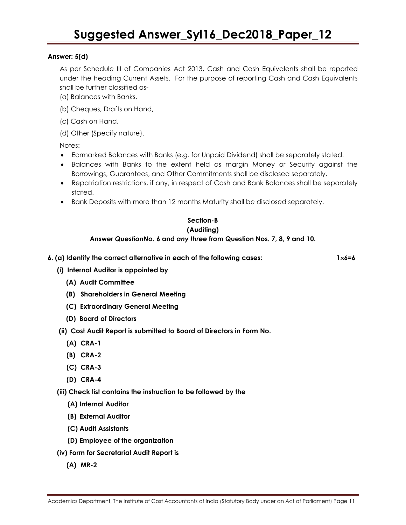### **Answer: 5(d)**

As per Schedule III of Companies Act 2013, Cash and Cash Equivalents shall be reported under the heading Current Assets. For the purpose of reporting Cash and Cash Equivalents shall be further classified as-

- (a) Balances with Banks,
- (b) Cheques, Drafts on Hand,
- (c) Cash on Hand,
- (d) Other (Specify nature).

Notes:

- Earmarked Balances with Banks (e.g. for Unpaid Dividend) shall be separately stated.
- Balances with Banks to the extent held as margin Money or Security against the Borrowings, Guarantees, and Other Commitments shall be disclosed separately.
- Repatriation restrictions, if any, in respect of Cash and Bank Balances shall be separately stated.
- Bank Deposits with more than 12 months Maturity shall be disclosed separately.

### **Section-B (Auditing)**

### **Answer** *QuestionNo.* **6 and** *any three* **from Question Nos. 7, 8, 9 and 10.**

**6. (a) Identify the correct alternative in each of the following cases: 16=6**

- **(i) Internal Auditor is appointed by**
	- **(A) Audit Committee**
	- **(B) Shareholders in General Meeting**
	- **(C) Extraordinary General Meeting**
	- **(D) Board of Directors**
- **(ii) Cost Audit Report is submitted to Board of Directors in Form No.**
	- **(A) CRA-1**
	- **(B) CRA-2**
	- **(C) CRA-3**
	- **(D) CRA-4**

 **(iii) Check list contains the instruction to be followed by the** 

- **(A) Internal Auditor**
- **(B) External Auditor**
- **(C) Audit Assistants**
- **(D) Employee of the organization**
- **(iv) Form for Secretarial Audit Report is** 
	- **(A) MR-2**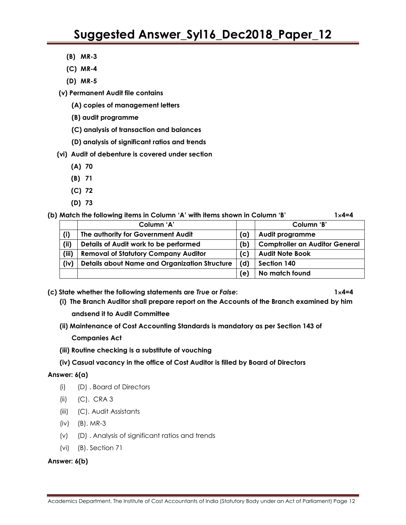- **(B) MR-3**
- **(C) MR-4**
- **(D) MR-5**
- **(v) Permanent Audit file contains**
	- **(A) copies of management letters**
	- **(B) audit programme**
	- **(C) analysis of transaction and balances**
	- **(D) analysis of significant ratios and trends**
- **(vi) Audit of debenture is covered under section**
	- **(A) 70**
	- **(B) 71**
	- **(C) 72**
	- **(D) 73**

**(b) Match the following items in Column 'A' with items shown in Column 'B' 14=4**

|       | Column 'A'                                           |     | Column 'B'                            |
|-------|------------------------------------------------------|-----|---------------------------------------|
| (i)   | The authority for Government Audit                   | (a) | Audit programme                       |
| (ii)  | Details of Audit work to be performed                | (b) | <b>Comptroller an Auditor General</b> |
| (iii) | <b>Removal of Statutory Company Auditor</b>          | (c) | <b>Audit Note Book</b>                |
| (iv)  | <b>Details about Name and Organization Structure</b> | (d) | Section 140                           |
|       |                                                      | (e) | No match found                        |

**(c) State whether the following statements are** *True* **or** *False***: 14=4** 

- **(i) The Branch Auditor shall prepare report on the Accounts of the Branch examined by him andsend it to Audit Committee**
- **(ii) Maintenance of Cost Accounting Standards is mandatory as per Section 143 of** 
	- **Companies Act**
- **(iii) Routine checking is a substitute of vouching**
- **(iv) Casual vacancy in the office of Cost Auditor is filled by Board of Directors**

### **Answer: 6(a)**

- (i) (D) . Board of Directors
- (ii) (C). CRA 3
- (iii) (C). Audit Assistants
- (iv) (B). MR-3
- (v) (D) . Analysis of significant ratios and trends
- (vi) (B). Section 71

### **Answer: 6(b)**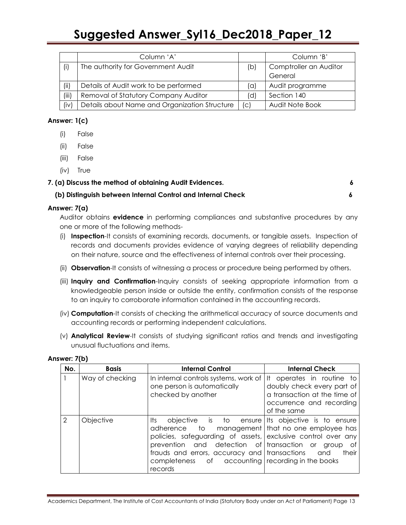|       | Column 'A'                                    |     | Column 'B'             |
|-------|-----------------------------------------------|-----|------------------------|
| (i)   | The authority for Government Audit            | (b) | Comptroller an Auditor |
|       |                                               |     | General                |
| (ii)  | Details of Audit work to be performed         | (a) | Audit programme        |
| (iii) | Removal of Statutory Company Auditor          | (d) | Section 140            |
| (iv)  | Details about Name and Organization Structure | c   | Audit Note Book        |

### **Answer: 1(c)**

- (i) False
- (ii) False
- (iii) False
- (iv) True

## **7. (a) Discuss the method of obtaining Audit Evidences. 6**

### **(b) Distinguish between Internal Control and Internal Check 6**

### **Answer: 7(a)**

Auditor obtains **evidence** in performing compliances and substantive procedures by any one or more of the following methods-

- (i) **Inspection**-It consists of examining records, documents, or tangible assets. Inspection of records and documents provides evidence of varying degrees of reliability depending on their nature, source and the effectiveness of internal controls over their processing.
- (ii) **Observation**-It consists of witnessing a process or procedure being performed by others.
- (iii) **Inquiry and Confirmation**-Inquiry consists of seeking appropriate information from a knowledgeable person inside or outside the entity, confirmation consists of the response to an inquiry to corroborate information contained in the accounting records.
- (iv) **Computation**-It consists of checking the arithmetical accuracy of source documents and accounting records or performing independent calculations.
- (v) **Analytical Review**-It consists of studying significant ratios and trends and investigating unusual fluctuations and items.

| No. | <b>Basis</b>    | <b>Internal Control</b>                                                                                                                                                                                                                                                                                                                         | <b>Internal Check</b>                                                                                                              |
|-----|-----------------|-------------------------------------------------------------------------------------------------------------------------------------------------------------------------------------------------------------------------------------------------------------------------------------------------------------------------------------------------|------------------------------------------------------------------------------------------------------------------------------------|
|     | Way of checking | In internal controls systems, work of<br>one person is automatically<br>checked by another                                                                                                                                                                                                                                                      | It operates in routine to<br>doubly check every part of<br>a transaction at the time of<br>occurrence and recording<br>of the same |
| 2   | Objective       | objective is to ensure lits objective is to ensure<br>lts<br>adherence to management that no one employee has<br>policies, safeguarding of assets, exclusive control over any<br>prevention and detection of transaction or<br>frauds and errors, accuracy and transactions and<br>completeness of accounting recording in the books<br>records | aroup<br>of<br>their                                                                                                               |

### **Answer: 7(b)**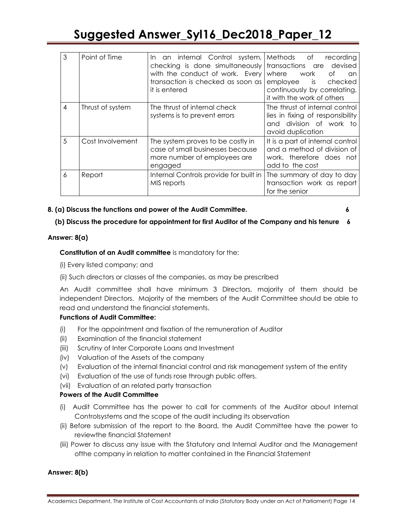| 3  | Point of Time    | In an internal Control system, Methods of<br>checking is done simultaneously transactions are devised<br>with the conduct of work. Every where<br>transaction is checked as soon as<br>it is entered | recording<br>work<br>Оf<br>an<br>employee is<br>checked<br>continuously by correlating,<br>it with the work of others |
|----|------------------|------------------------------------------------------------------------------------------------------------------------------------------------------------------------------------------------------|-----------------------------------------------------------------------------------------------------------------------|
| 4  | Thrust of system | The thrust of internal check<br>systems is to prevent errors                                                                                                                                         | The thrust of internal control<br>lies in fixing of responsibility<br>division of work to<br>and<br>avoid duplication |
| .5 | Cost Involvement | The system proves to be costly in<br>case of small businesses because<br>more number of employees are<br>engaged                                                                                     | It is a part of internal control<br>and a method of division of<br>work, therefore does not<br>add to the cost        |
| 6  | Report           | Internal Controls provide for built in<br>MIS reports                                                                                                                                                | The summary of day to day<br>transaction work as report<br>for the senior                                             |

### **8. (a) Discuss the functions and power of the Audit Committee. 6**

### **(b) Discuss the procedure for appointment for first Auditor of the Company and his tenure 6**

### **Answer: 8(a)**

### **Constitution of an Audit committee** is mandatory for the:

(i) Every listed company; and

### (ii) Such directors or classes of the companies, as may be prescribed

An Audit committee shall have minimum 3 Directors, majority of them should be independent Directors. Majority of the members of the Audit Committee should be able to read and understand the financial statements.

### **Functions of Audit Committee:**

- (i) For the appointment and fixation of the remuneration of Auditor
- (ii) Examination of the financial statement
- (iii) Scrutiny of Inter Corporate Loans and Investment
- (iv) Valuation of the Assets of the company
- (v) Evaluation of the internal financial control and risk management system of the entity
- (vi) Evaluation of the use of funds rose through public offers.
- (vii) Evaluation of an related party transaction

### **Powers of the Audit Committee**

- (i) Audit Committee has the power to call for comments of the Auditor about Internal Controlsystems and the scope of the audit including its observation
- (ii) Before submission of the report to the Board, the Audit Committee have the power to reviewthe financial Statement
- (iii) Power to discuss any issue with the Statutory and Internal Auditor and the Management ofthe company in relation to matter contained in the Financial Statement

### **Answer: 8(b)**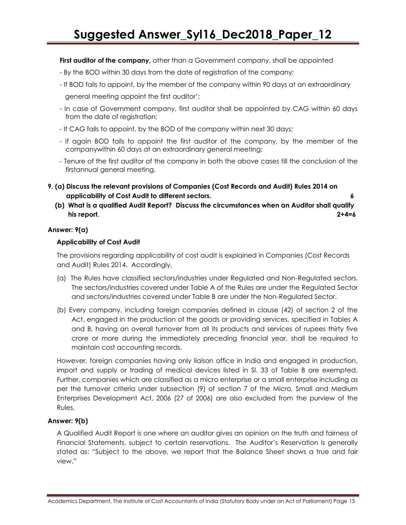**First auditor of the company**, other than a Government company, shall be appointed

- By the BOD within 30 days from the date of registration of the company;
- If BOD fails to appoint, by the member of the company within 90 days at an extraordinary

general meeting appoint the first auditor";

- In case of Government company, first auditor shall be appointed by CAG within 60 days from the date of registration;
- If CAG fails to appoint, by the BOD of the company within next 30 days;
- If again BOD fails to appoint the first auditor of the company, by the member of the companywithin 60 days at an extraordinary general meeting;
- Tenure of the first auditor of the company in both the above cases till the conclusion of the firstannual general meeting.
- **9. (a) Discuss the relevant provisions of Companies (Cost Records and Audit) Rules 2014 on applicability of Cost Audit to different sectors. 6**
- **(b) What is a qualified Audit Report? Discuss the circumstances when an Auditor shall qualify his report. 2+4=6**

### **Answer: 9(a)**

### **Applicability of Cost Audit**

The provisions regarding applicability of cost audit is explained in Companies (Cost Records and Audit) Rules 2014. Accordingly,

- (a) The Rules have classified sectors/industries under Regulated and Non-Regulated sectors. The sectors/industries covered under Table A of the Rules are under the Regulated Sector and sectors/industries covered under Table B are under the Non-Regulated Sector.
- (b) Every company, including foreign companies defined in clause (42) of section 2 of the Act, engaged in the production of the goods or providing services, specified in Tables A and B, having an overall turnover from all its products and services of rupees thirty five crore or more during the immediately preceding financial year, shall be required to maintain cost accounting records.

However, foreign companies having only liaison office in India and engaged in production, import and supply or trading of medical devices listed in Sl. 33 of Table B are exempted. Further, companies which are classified as a micro enterprise or a small enterprise including as per the turnover criteria under subsection (9) of section 7 of the Micro, Small and Medium Enterprises Development Act, 2006 (27 of 2006) are also excluded from the purview of the Rules.

### **Answer: 9(b)**

A Qualified Audit Report is one where an auditor gives an opinion on the truth and fairness of Financial Statements, subject to certain reservations. The Auditor"s Reservation is generally stated as: "Subject to the above, we report that the Balance Sheet shows a true and fair view."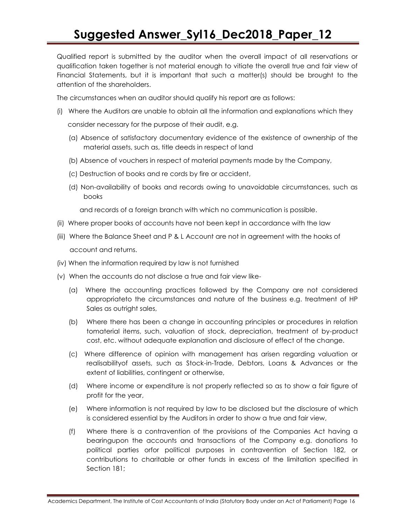Qualified report is submitted by the auditor when the overall impact of all reservations or qualification taken together is not material enough to vitiate the overall true and fair view of Financial Statements, but it is important that such a matter(s) should be brought to the attention of the shareholders.

The circumstances when an auditor should qualify his report are as follows:

- (i) Where the Auditors are unable to obtain all the information and explanations which they consider necessary for the purpose of their audit, e.g.
	- (a) Absence of satisfactory documentary evidence of the existence of ownership of the material assets, such as, title deeds in respect of land
	- (b) Absence of vouchers in respect of material payments made by the Company,
	- (c) Destruction of books and re cords by fire or accident,
	- (d) Non-availability of books and records owing to unavoidable circumstances, such as books

and records of a foreign branch with which no communication is possible.

- (ii) Where proper books of accounts have not been kept in accordance with the law
- (iii) Where the Balance Sheet and P & L Account are not in agreement with the hooks of account and returns.
- (iv) When the information required by law is not furnished
- (v) When the accounts do not disclose a true and fair view like-
	- (a) Where the accounting practices followed by the Company are not considered appropriateto the circumstances and nature of the business e.g. treatment of HP Sales as outright sales,
	- (b) Where there has been a change in accounting principles or procedures in relation tomaterial items, such, valuation of stock, depreciation, treatment of by-product cost, etc. without adequate explanation and disclosure of effect of the change.
	- (c) Where difference of opinion with management has arisen regarding valuation or realisabilityof assets, such as Stock-in-Trade, Debtors, Loans & Advances or the extent of liabilities, contingent or otherwise,
	- (d) Where income or expenditure is not properly reflected so as to show a fair figure of profit for the year,
	- (e) Where information is not required by law to be disclosed but the disclosure of which is considered essential by the Auditors in order to show a true and fair view,
	- (f) Where there is a contravention of the provisions of the Companies Act having a bearingupon the accounts and transactions of the Company e.g. donations to political parties orfor political purposes in contravention of Section 182, or contributions to charitable or other funds in excess of the limitation specified in Section 181;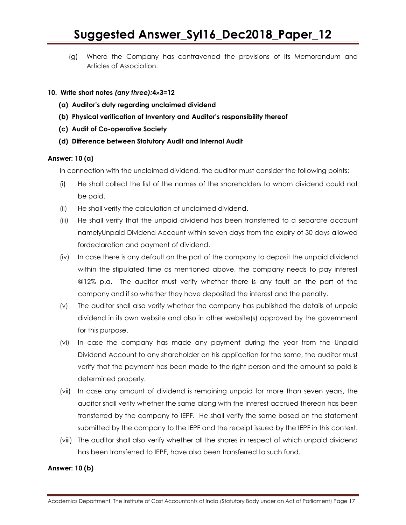(g) Where the Company has contravened the provisions of its Memorandum and Articles of Association.

### **10. Write short notes** *(any three):***43=12**

- **(a) Auditor's duty regarding unclaimed dividend**
- **(b) Physical verification of Inventory and Auditor's responsibility thereof**
- **(c) Audit of Co-operative Society**
- **(d) Difference between Statutory Audit and Internal Audit**

### **Answer: 10 (a)**

In connection with the unclaimed dividend, the auditor must consider the following points:

- (i) He shall collect the list of the names of the shareholders to whom dividend could not be paid.
- (ii) He shall verify the calculation of unclaimed dividend.
- (iii) He shall verify that the unpaid dividend has been transferred to a separate account namelyUnpaid Dividend Account within seven days from the expiry of 30 days allowed fordeclaration and payment of dividend.
- (iv) In case there is any default on the part of the company to deposit the unpaid dividend within the stipulated time as mentioned above, the company needs to pay interest @12% p.a. The auditor must verify whether there is any fault on the part of the company and if so whether they have deposited the interest and the penalty.
- (v) The auditor shall also verify whether the company has published the details of unpaid dividend in its own website and also in other website(s) approved by the government for this purpose.
- (vi) In case the company has made any payment during the year from the Unpaid Dividend Account to any shareholder on his application for the same, the auditor must verify that the payment has been made to the right person and the amount so paid is determined properly.
- (vii) In case any amount of dividend is remaining unpaid for more than seven years, the auditor shall verify whether the same along with the interest accrued thereon has been transferred by the company to IEPF. He shall verify the same based on the statement submitted by the company to the IEPF and the receipt issued by the IEPF in this context.
- (viii) The auditor shall also verify whether all the shares in respect of which unpaid dividend has been transferred to IEPF, have also been transferred to such fund.

### **Answer: 10 (b)**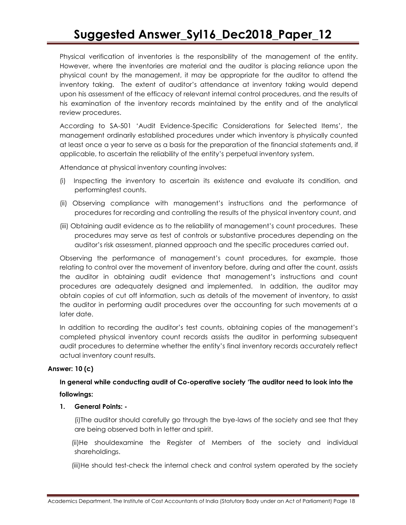Physical verification of inventories is the responsibility of the management of the entity. However, where the inventories are material and the auditor is placing reliance upon the physical count by the management, it may be appropriate for the auditor to attend the inventory taking. The extent of auditor"s attendance at inventory taking would depend upon his assessment of the efficacy of relevant internal control procedures, and the results of his examination of the inventory records maintained by the entity and of the analytical review procedures.

According to SA-501 "Audit Evidence-Specific Considerations for Selected Items", the management ordinarily established procedures under which inventory is physically counted at least once a year to serve as a basis for the preparation of the financial statements and, if applicable, to ascertain the reliability of the entity"s perpetual inventory system.

Attendance at physical inventory counting involves:

- (i) Inspecting the inventory to ascertain its existence and evaluate its condition, and performingtest counts.
- (ii) Observing compliance with management"s instructions and the performance of procedures for recording and controlling the results of the physical inventory count, and
- (iii) Obtaining audit evidence as to the reliability of management"s count procedures. These procedures may serve as test of controls or substantive procedures depending on the auditor"s risk assessment, planned approach and the specific procedures carried out.

Observing the performance of management"s count procedures, for example, those relating to control over the movement of inventory before, during and after the count, assists the auditor in obtaining audit evidence that management"s instructions and count procedures are adequately designed and implemented. In addition, the auditor may obtain copies of cut off information, such as details of the movement of inventory, to assist the auditor in performing audit procedures over the accounting for such movements at a later date.

In addition to recording the auditor"s test counts, obtaining copies of the management"s completed physical inventory count records assists the auditor in performing subsequent audit procedures to determine whether the entity"s final inventory records accurately reflect actual inventory count results.

### **Answer: 10 (c)**

### **In general while conducting audit of Co-operative society 'The auditor need to look into the followings:**

### **1. General Points: -**

(i)The auditor should carefully go through the bye-laws of the society and see that they are being observed both in letter and spirit.

(ii)He shouldexamine the Register of Members of the society and individual shareholdings.

(iii)He should test-check the internal check and control system operated by the society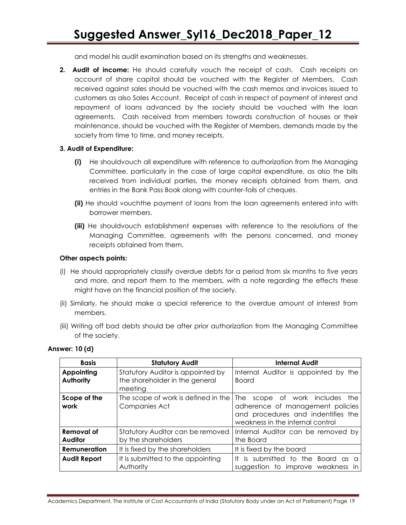and model his audit examination based on its strengths and weaknesses.

**2. Audit of income:** He should carefully vouch the receipt of cash. Cash receipts on account of share capital should be vouched with the Register of Members. Cash received against sales should be vouched with the cash memos and invoices issued to customers as also Sales Account. Receipt of cash in respect of payment of interest and repayment of loans advanced by the society should be vouched with the loan agreements. Cash received from members towards construction of houses or their maintenance, should be vouched with the Register of Members, demands made by the society from time to time, and money receipts.

### **3. Audit of Expenditure:**

- **(i)** He shouldvouch all expenditure with reference to authorization from the Managing Committee, particularly in the case of large capital expenditure, as also the bills received from individual parties, the money receipts obtained from them, and entries in the Bank Pass Book along with counter-foils of cheques.
- **(ii)** He should vouchthe payment of loans from the loan agreements entered into with borrower members.
- **(iii)** He shouldvouch establishment expenses with reference to the resolutions of the Managing Committee, agreements with the persons concerned, and money receipts obtained from them.

### **Other aspects points:**

- (i) He should appropriately classify overdue debts for a period from six months to five years and more, and report them to the members, with a note regarding the effects these might have on the financial position of the society.
- (ii) Similarly, he should make a special reference to the overdue amount of interest from members.
- (iii) Writing off bad debts should be after prior authorization from the Managing Committee of the society.

| <b>Basis</b>                          | <b>Statutory Audit</b>                                                         | <b>Internal Audit</b>                                                                                                                                  |
|---------------------------------------|--------------------------------------------------------------------------------|--------------------------------------------------------------------------------------------------------------------------------------------------------|
| <b>Appointing</b><br><b>Authority</b> | Statutory Auditor is appointed by<br>the shareholder in the general<br>meeting | Internal Auditor is appointed by the<br><b>Board</b>                                                                                                   |
| Scope of the<br>work                  | The scope of work is defined in the<br>Companies Act                           | <b>The</b><br>scope of work includes the<br>adherence of management policies<br>and procedures and indentifies the<br>weakness in the internal control |
| Removal of<br><b>Auditor</b>          | Statutory Auditor can be removed<br>by the shareholders                        | Internal Auditor can be removed by<br>the Board                                                                                                        |
| Remuneration                          | It is fixed by the shareholders                                                | It is fixed by the board                                                                                                                               |
| <b>Audit Report</b>                   | It is submitted to the appointing<br>Authority                                 | It is submitted to the Board as<br><sup>o</sup><br>suggestion to improve weakness in                                                                   |

### **Answer: 10 (d)**